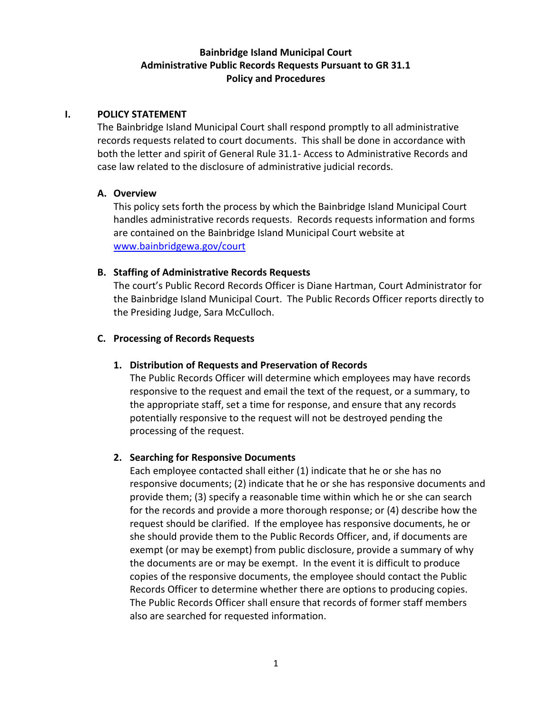# **Bainbridge Island Municipal Court Administrative Public Records Requests Pursuant to GR 31.1 Policy and Procedures**

#### **I. POLICY STATEMENT**

The Bainbridge Island Municipal Court shall respond promptly to all administrative records requests related to court documents. This shall be done in accordance with both the letter and spirit of General Rule 31.1- Access to Administrative Records and case law related to the disclosure of administrative judicial records.

#### **A. Overview**

This policy sets forth the process by which the Bainbridge Island Municipal Court handles administrative records requests. Records requests information and forms are contained on the Bainbridge Island Municipal Court website at [www.bainbridgewa.gov/court](http://www.bainbridgewa.gov/court)

## **B. Staffing of Administrative Records Requests**

The court's Public Record Records Officer is Diane Hartman, Court Administrator for the Bainbridge Island Municipal Court. The Public Records Officer reports directly to the Presiding Judge, Sara McCulloch.

## **C. Processing of Records Requests**

## **1. Distribution of Requests and Preservation of Records**

The Public Records Officer will determine which employees may have records responsive to the request and email the text of the request, or a summary, to the appropriate staff, set a time for response, and ensure that any records potentially responsive to the request will not be destroyed pending the processing of the request.

#### **2. Searching for Responsive Documents**

Each employee contacted shall either (1) indicate that he or she has no responsive documents; (2) indicate that he or she has responsive documents and provide them; (3) specify a reasonable time within which he or she can search for the records and provide a more thorough response; or (4) describe how the request should be clarified. If the employee has responsive documents, he or she should provide them to the Public Records Officer, and, if documents are exempt (or may be exempt) from public disclosure, provide a summary of why the documents are or may be exempt. In the event it is difficult to produce copies of the responsive documents, the employee should contact the Public Records Officer to determine whether there are options to producing copies. The Public Records Officer shall ensure that records of former staff members also are searched for requested information.